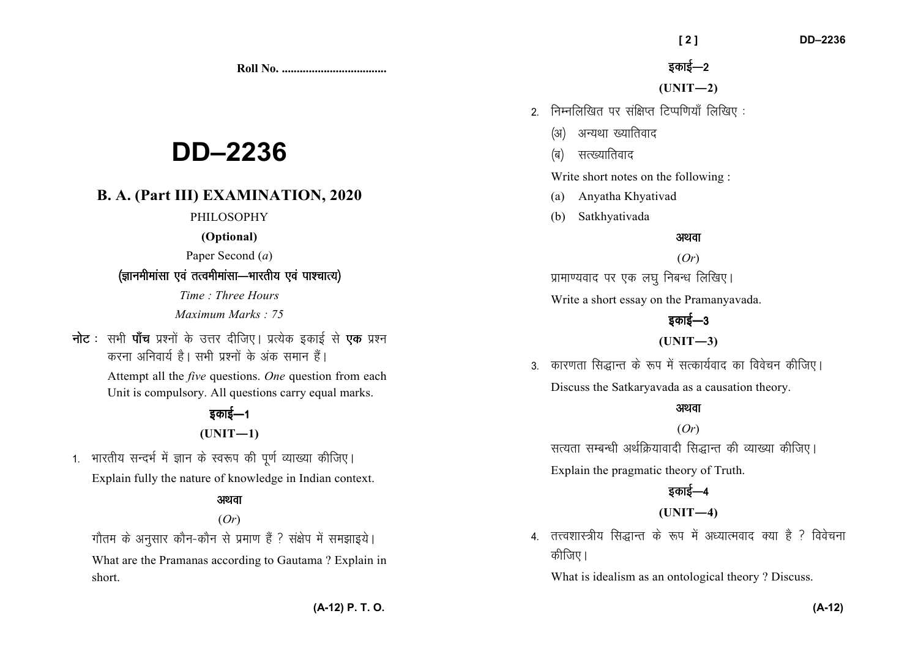**Roll No. ...................................** 

# **DD–2236**

# **B. A. (Part III) EXAMINATION, 2020**

#### PHILOSOPHY

**(Optional)** 

Paper Second (*a*)

## *(ज्ञानमीमांसा एवं तत्वमीमांसा*—भारतीय एवं पाश्चात्य)

*Time : Three Hours Maximum Marks : 75*

**नोट** : सभी **पॉच** प्रश्नों के उत्तर दीजिए। प्रत्येक इकाई से एक प्रश्न *djuk vfuok;Z gSA lHkh iz'uksa d¢ vad leku gSaA* 

> Attempt all the *five* questions. *One* question from each Unit is compulsory. All questions carry equal marks.

# *sकाई—1* **(UNIT—1)**

1. भारतीय सन्दर्भ में ज्ञान के स्वरूप की पूर्ण व्याख्या कीजिए। Explain fully the nature of knowledge in Indian context.

## अथवा

## (*Or*)

*xkSre ds vuqlkj dkSu*&*dkSu ls izek.k gSa \ la{ksi esa le>kb;sA* 

What are the Pramanas according to Gautama ? Explain in short.

*bdkbZ*&*<sup>2</sup>*

**(UNIT—2)** 

- *2- fuEufyf[kr ij laf{kIr fVIif.k;k¡ fyf[k, %* 
	- *(अ)* अन्यथा ख्यातिवाद
	- *(*ब) सत्ख्यातिवाद

Write short notes on the following :

- (a) Anyatha Khyativad
- (b) Satkhyativada

#### अथवा

(*Or*) *izkek.;okn ij ,d y?kq fucU/k fyf[k,A* 

Write a short essay on the Pramanyavada.

# *sकाई—3*

## **(UNIT—3)**

3. कारणता सिद्धान्त के रूप में सत्कार्यवाद का विवेचन कीजिए। Discuss the Satkaryavada as a causation theory.

## अथवा

(*Or*) *lR;rk lEcU/kh vFkZfØ;koknh fl)kUr dh O;k[;k dhft,A* Explain the pragmatic theory of Truth.

# *bdkbZ*&*<sup>4</sup>*

## **(UNIT—4)**

4. तत्त्वशास्त्रीय सिद्धान्त के रूप में अध्यात्मवाद क्या है ? विवेचना *कीजिए* ।

What is idealism as an ontological theory ? Discuss.